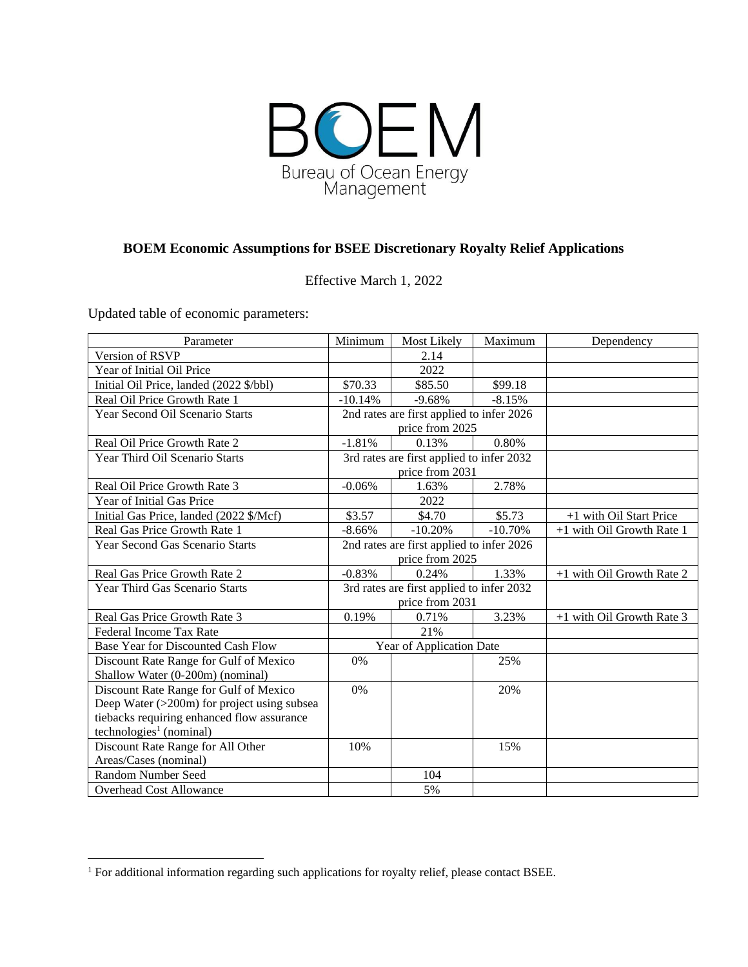

## **BOEM Economic Assumptions for BSEE Discretionary Royalty Relief Applications**

Effective March 1, 2022

Updated table of economic parameters:

| Parameter                                   | Minimum                                   | Most Likely     | Maximum   | Dependency                |
|---------------------------------------------|-------------------------------------------|-----------------|-----------|---------------------------|
| Version of RSVP                             |                                           | 2.14            |           |                           |
| Year of Initial Oil Price                   |                                           | 2022            |           |                           |
| Initial Oil Price, landed (2022 \$/bbl)     | \$70.33                                   | \$85.50         | \$99.18   |                           |
| Real Oil Price Growth Rate 1                | $-10.14%$                                 | $-9.68%$        | $-8.15%$  |                           |
| Year Second Oil Scenario Starts             | 2nd rates are first applied to infer 2026 |                 |           |                           |
|                                             | price from 2025                           |                 |           |                           |
| Real Oil Price Growth Rate 2                | $-1.81%$                                  | 0.13%           | 0.80%     |                           |
| Year Third Oil Scenario Starts              | 3rd rates are first applied to infer 2032 |                 |           |                           |
|                                             | price from 2031                           |                 |           |                           |
| Real Oil Price Growth Rate 3                | $-0.06%$                                  | 1.63%           | 2.78%     |                           |
| Year of Initial Gas Price                   |                                           | 2022            |           |                           |
| Initial Gas Price, landed (2022 \$/Mcf)     | \$3.57                                    | \$4.70          | \$5.73    | +1 with Oil Start Price   |
| Real Gas Price Growth Rate 1                | $-8.66%$                                  | $-10.20%$       | $-10.70%$ | +1 with Oil Growth Rate 1 |
| <b>Year Second Gas Scenario Starts</b>      | 2nd rates are first applied to infer 2026 |                 |           |                           |
|                                             |                                           | price from 2025 |           |                           |
| Real Gas Price Growth Rate 2                | $-0.83%$                                  | 0.24%           | 1.33%     | +1 with Oil Growth Rate 2 |
| Year Third Gas Scenario Starts              | 3rd rates are first applied to infer 2032 |                 |           |                           |
|                                             | price from 2031                           |                 |           |                           |
| Real Gas Price Growth Rate 3                | 0.19%                                     | 0.71%           | 3.23%     | +1 with Oil Growth Rate 3 |
| Federal Income Tax Rate                     |                                           | 21%             |           |                           |
| Base Year for Discounted Cash Flow          | Year of Application Date                  |                 |           |                           |
| Discount Rate Range for Gulf of Mexico      | 0%                                        |                 | 25%       |                           |
| Shallow Water (0-200m) (nominal)            |                                           |                 |           |                           |
| Discount Rate Range for Gulf of Mexico      | 0%                                        |                 | 20%       |                           |
| Deep Water (>200m) for project using subsea |                                           |                 |           |                           |
| tiebacks requiring enhanced flow assurance  |                                           |                 |           |                           |
| technologies <sup>1</sup> (nominal)         |                                           |                 |           |                           |
| Discount Rate Range for All Other           | 10%                                       |                 | 15%       |                           |
| Areas/Cases (nominal)                       |                                           |                 |           |                           |
| <b>Random Number Seed</b>                   |                                           | 104             |           |                           |
| <b>Overhead Cost Allowance</b>              |                                           | 5%              |           |                           |

<sup>&</sup>lt;sup>1</sup> For additional information regarding such applications for royalty relief, please contact BSEE.